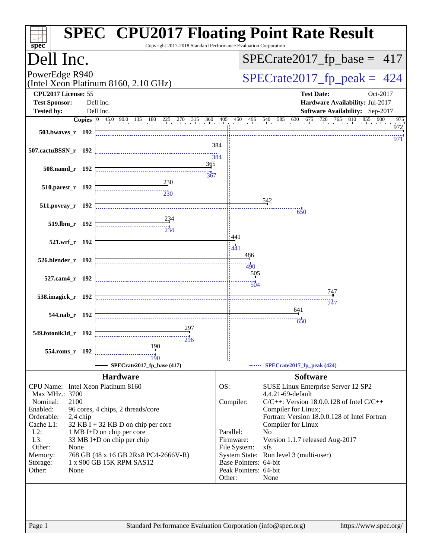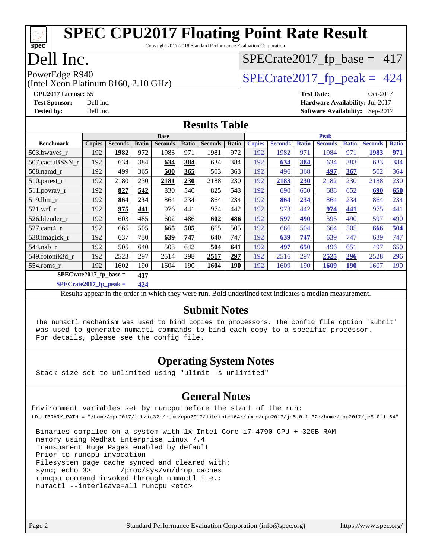#### **[spec](http://www.spec.org/) [SPEC CPU2017 Floating Point Rate Result](http://www.spec.org/auto/cpu2017/Docs/result-fields.html#SPECCPU2017FloatingPointRateResult)** Copyright 2017-2018 Standard Performance Evaluation Corporation

#### Dell Inc.

# $SPECTate2017_fp\_base = 417$

(Intel Xeon Platinum 8160, 2.10 GHz) PowerEdge R940<br>(Intel Xeon Platinum 8160 2.10 GHz)  $\begin{array}{c|c}\n\text{SPECrate2017\_fp\_peak = 424}\n\end{array}$ 

**[CPU2017 License:](http://www.spec.org/auto/cpu2017/Docs/result-fields.html#CPU2017License)** 55 **[Test Date:](http://www.spec.org/auto/cpu2017/Docs/result-fields.html#TestDate)** Oct-2017 **[Test Sponsor:](http://www.spec.org/auto/cpu2017/Docs/result-fields.html#TestSponsor)** Dell Inc. **[Hardware Availability:](http://www.spec.org/auto/cpu2017/Docs/result-fields.html#HardwareAvailability)** Jul-2017

**[Tested by:](http://www.spec.org/auto/cpu2017/Docs/result-fields.html#Testedby)** Dell Inc. **[Software Availability:](http://www.spec.org/auto/cpu2017/Docs/result-fields.html#SoftwareAvailability)** Sep-2017

#### **[Results Table](http://www.spec.org/auto/cpu2017/Docs/result-fields.html#ResultsTable)**

|                          | <b>Base</b>   |                |       |                |       |                |            |               | <b>Peak</b>    |              |                |              |                |              |
|--------------------------|---------------|----------------|-------|----------------|-------|----------------|------------|---------------|----------------|--------------|----------------|--------------|----------------|--------------|
| <b>Benchmark</b>         | <b>Copies</b> | <b>Seconds</b> | Ratio | <b>Seconds</b> | Ratio | <b>Seconds</b> | Ratio      | <b>Copies</b> | <b>Seconds</b> | <b>Ratio</b> | <b>Seconds</b> | <b>Ratio</b> | <b>Seconds</b> | <b>Ratio</b> |
| 503.bwaves_r             | 192           | 1982           | 972   | 1983           | 971   | 1981           | 972        | 192           | 1982           | 971          | 1984           | 971          | 1983           | 971          |
| 507.cactuBSSN r          | 192           | 634            | 384   | 634            | 384   | 634            | 384        | 192           | 634            | 384          | 634            | 383          | 633            | 384          |
| $508$ .namd $r$          | 192           | 499            | 365   | 500            | 365   | 503            | 363        | 192           | 496            | 368          | 497            | 367          | 502            | 364          |
| 510.parest_r             | 192           | 2180           | 230   | 2181           | 230   | 2188           | 230        | 192           | 2183           | 230          | 2182           | 230          | 2188           | 230          |
| 511.povray_r             | 192           | 827            | 542   | 830            | 540   | 825            | 543        | 192           | 690            | 650          | 688            | 652          | 690            | 650          |
| 519.1bm r                | 192           | 864            | 234   | 864            | 234   | 864            | 234        | 192           | 864            | 234          | 864            | 234          | 864            | 234          |
| $521$ .wrf r             | 192           | 975            | 441   | 976            | 441   | 974            | 442        | 192           | 973            | 442          | 974            | 441          | 975            | 441          |
| 526.blender r            | 192           | 603            | 485   | 602            | 486   | 602            | 486        | 192           | 597            | 490          | 596            | 490          | 597            | 490          |
| 527.cam4_r               | 192           | 665            | 505   | 665            | 505   | 665            | 505        | 192           | 666            | 504          | 664            | 505          | 666            | 504          |
| 538.imagick_r            | 192           | 637            | 750   | 639            | 747   | 640            | 747        | 192           | 639            | 747          | 639            | 747          | 639            | 747          |
| 544.nab r                | 192           | 505            | 640   | 503            | 642   | 504            | 641        | 192           | 497            | 650          | 496            | 651          | 497            | 650          |
| 549.fotonik3d r          | 192           | 2523           | 297   | 2514           | 298   | 2517           | 297        | 192           | 2516           | 297          | 2525           | 296          | 2528           | 296          |
| $554$ .roms r            | 192           | 1602           | 190   | 1604           | 190   | 1604           | <b>190</b> | 192           | 1609           | 190          | 1609           | <b>190</b>   | 1607           | 190          |
| $SPECrate2017$ fp base = |               |                | 417   |                |       |                |            |               |                |              |                |              |                |              |

**[SPECrate2017\\_fp\\_peak =](http://www.spec.org/auto/cpu2017/Docs/result-fields.html#SPECrate2017fppeak) 424**

Results appear in the [order in which they were run](http://www.spec.org/auto/cpu2017/Docs/result-fields.html#RunOrder). Bold underlined text [indicates a median measurement](http://www.spec.org/auto/cpu2017/Docs/result-fields.html#Median).

#### **[Submit Notes](http://www.spec.org/auto/cpu2017/Docs/result-fields.html#SubmitNotes)**

 The numactl mechanism was used to bind copies to processors. The config file option 'submit' was used to generate numactl commands to bind each copy to a specific processor. For details, please see the config file.

#### **[Operating System Notes](http://www.spec.org/auto/cpu2017/Docs/result-fields.html#OperatingSystemNotes)**

Stack size set to unlimited using "ulimit -s unlimited"

#### **[General Notes](http://www.spec.org/auto/cpu2017/Docs/result-fields.html#GeneralNotes)**

Environment variables set by runcpu before the start of the run: LD\_LIBRARY\_PATH = "/home/cpu2017/lib/ia32:/home/cpu2017/lib/intel64:/home/cpu2017/je5.0.1-32:/home/cpu2017/je5.0.1-64"

 Binaries compiled on a system with 1x Intel Core i7-4790 CPU + 32GB RAM memory using Redhat Enterprise Linux 7.4 Transparent Huge Pages enabled by default Prior to runcpu invocation Filesystem page cache synced and cleared with: sync; echo 3> /proc/sys/vm/drop\_caches runcpu command invoked through numactl i.e.: numactl --interleave=all runcpu <etc>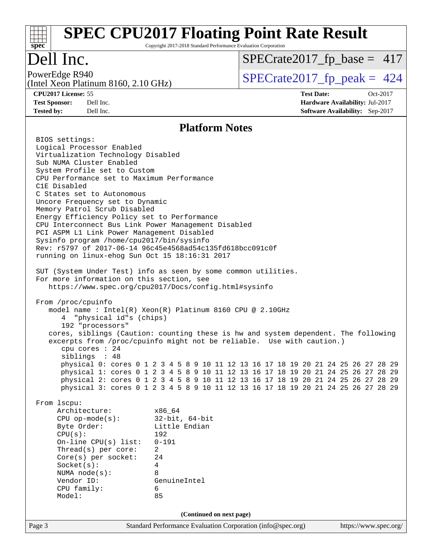#### Page 3 Standard Performance Evaluation Corporation [\(info@spec.org\)](mailto:info@spec.org) <https://www.spec.org/> **[spec](http://www.spec.org/) [SPEC CPU2017 Floating Point Rate Result](http://www.spec.org/auto/cpu2017/Docs/result-fields.html#SPECCPU2017FloatingPointRateResult)** Copyright 2017-2018 Standard Performance Evaluation Corporation Dell Inc. (Intel Xeon Platinum 8160, 2.10 GHz) PowerEdge R940<br>(Intel Xeon Platinum 8160 2.10 GHz)  $\begin{array}{c|c}\n\text{SPECrate2017\_fp\_peak = 424}\n\end{array}$  $SPECTate2017_fp\_base = 417$ **[CPU2017 License:](http://www.spec.org/auto/cpu2017/Docs/result-fields.html#CPU2017License)** 55 **[Test Date:](http://www.spec.org/auto/cpu2017/Docs/result-fields.html#TestDate)** Oct-2017 **[Test Sponsor:](http://www.spec.org/auto/cpu2017/Docs/result-fields.html#TestSponsor)** Dell Inc. **[Hardware Availability:](http://www.spec.org/auto/cpu2017/Docs/result-fields.html#HardwareAvailability)** Jul-2017 **[Tested by:](http://www.spec.org/auto/cpu2017/Docs/result-fields.html#Testedby)** Dell Inc. **[Software Availability:](http://www.spec.org/auto/cpu2017/Docs/result-fields.html#SoftwareAvailability)** Sep-2017 **[Platform Notes](http://www.spec.org/auto/cpu2017/Docs/result-fields.html#PlatformNotes)** BIOS settings: Logical Processor Enabled Virtualization Technology Disabled Sub NUMA Cluster Enabled System Profile set to Custom CPU Performance set to Maximum Performance C1E Disabled C States set to Autonomous Uncore Frequency set to Dynamic Memory Patrol Scrub Disabled Energy Efficiency Policy set to Performance CPU Interconnect Bus Link Power Management Disabled PCI ASPM L1 Link Power Management Disabled Sysinfo program /home/cpu2017/bin/sysinfo Rev: r5797 of 2017-06-14 96c45e4568ad54c135fd618bcc091c0f running on linux-ehog Sun Oct 15 18:16:31 2017 SUT (System Under Test) info as seen by some common utilities. For more information on this section, see <https://www.spec.org/cpu2017/Docs/config.html#sysinfo> From /proc/cpuinfo model name : Intel(R) Xeon(R) Platinum 8160 CPU @ 2.10GHz 4 "physical id"s (chips) 192 "processors" cores, siblings (Caution: counting these is hw and system dependent. The following excerpts from /proc/cpuinfo might not be reliable. Use with caution.) cpu cores : 24 siblings : 48 physical 0: cores 0 1 2 3 4 5 8 9 10 11 12 13 16 17 18 19 20 21 24 25 26 27 28 29 physical 1: cores 0 1 2 3 4 5 8 9 10 11 12 13 16 17 18 19 20 21 24 25 26 27 28 29 physical 2: cores 0 1 2 3 4 5 8 9 10 11 12 13 16 17 18 19 20 21 24 25 26 27 28 29 physical 3: cores 0 1 2 3 4 5 8 9 10 11 12 13 16 17 18 19 20 21 24 25 26 27 28 29 From lscpu: Architecture: x86\_64 CPU op-mode(s): 32-bit, 64-bit Byte Order: Little Endian CPU(s): 192 On-line CPU(s) list: 0-191 Thread(s) per core: 2 Core(s) per socket: 24 Socket(s): 4 NUMA node(s): 8 Vendor ID: GenuineIntel CPU family: 6 Model: 85 **(Continued on next page)**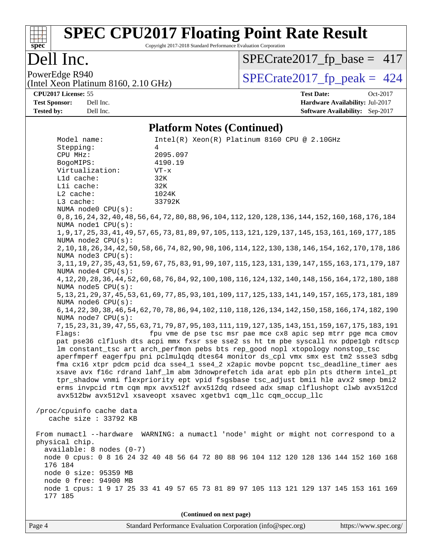# **[spec](http://www.spec.org/)**

# **[SPEC CPU2017 Floating Point Rate Result](http://www.spec.org/auto/cpu2017/Docs/result-fields.html#SPECCPU2017FloatingPointRateResult)**

Copyright 2017-2018 Standard Performance Evaluation Corporation

#### Dell Inc.

[SPECrate2017\\_fp\\_base =](http://www.spec.org/auto/cpu2017/Docs/result-fields.html#SPECrate2017fpbase) 417

(Intel Xeon Platinum 8160, 2.10 GHz)

PowerEdge R940<br>(Intel Xeon Platinum 8160 2.10 GHz)  $\begin{array}{c|c}\n\text{SPECrate2017\_fp\_peak = 424}\n\end{array}$ 

**[CPU2017 License:](http://www.spec.org/auto/cpu2017/Docs/result-fields.html#CPU2017License)** 55 **[Test Date:](http://www.spec.org/auto/cpu2017/Docs/result-fields.html#TestDate)** Oct-2017 **[Test Sponsor:](http://www.spec.org/auto/cpu2017/Docs/result-fields.html#TestSponsor)** Dell Inc. **[Hardware Availability:](http://www.spec.org/auto/cpu2017/Docs/result-fields.html#HardwareAvailability)** Jul-2017 **[Tested by:](http://www.spec.org/auto/cpu2017/Docs/result-fields.html#Testedby)** Dell Inc. **[Software Availability:](http://www.spec.org/auto/cpu2017/Docs/result-fields.html#SoftwareAvailability)** Sep-2017

#### **[Platform Notes \(Continued\)](http://www.spec.org/auto/cpu2017/Docs/result-fields.html#PlatformNotes)**

Model name: Intel(R) Xeon(R) Platinum 8160 CPU @ 2.10GHz Stepping: 4 CPU MHz: 2095.097 BogoMIPS: 4190.19 Virtualization: VT-x L1d cache: 32K L1i cache: 32K L2 cache: 1024K L3 cache: 33792K NUMA node0 CPU(s): 0,8,16,24,32,40,48,56,64,72,80,88,96,104,112,120,128,136,144,152,160,168,176,184 NUMA node1 CPU(s): 1,9,17,25,33,41,49,57,65,73,81,89,97,105,113,121,129,137,145,153,161,169,177,185 NUMA node2 CPU(s): 2,10,18,26,34,42,50,58,66,74,82,90,98,106,114,122,130,138,146,154,162,170,178,186 NUMA node3 CPU(s): 3,11,19,27,35,43,51,59,67,75,83,91,99,107,115,123,131,139,147,155,163,171,179,187 NUMA node4 CPU(s): 4,12,20,28,36,44,52,60,68,76,84,92,100,108,116,124,132,140,148,156,164,172,180,188 NUMA node5 CPU(s): 5,13,21,29,37,45,53,61,69,77,85,93,101,109,117,125,133,141,149,157,165,173,181,189 NUMA node6 CPU(s): 6,14,22,30,38,46,54,62,70,78,86,94,102,110,118,126,134,142,150,158,166,174,182,190 NUMA node7 CPU(s): 7,15,23,31,39,47,55,63,71,79,87,95,103,111,119,127,135,143,151,159,167,175,183,191 Flags: fpu vme de pse tsc msr pae mce cx8 apic sep mtrr pge mca cmov pat pse36 clflush dts acpi mmx fxsr sse sse2 ss ht tm pbe syscall nx pdpe1gb rdtscp lm constant\_tsc art arch\_perfmon pebs bts rep\_good nopl xtopology nonstop\_tsc aperfmperf eagerfpu pni pclmulqdq dtes64 monitor ds\_cpl vmx smx est tm2 ssse3 sdbg fma cx16 xtpr pdcm pcid dca sse4\_1 sse4\_2 x2apic movbe popcnt tsc\_deadline\_timer aes xsave avx f16c rdrand lahf\_lm abm 3dnowprefetch ida arat epb pln pts dtherm intel\_pt tpr\_shadow vnmi flexpriority ept vpid fsgsbase tsc\_adjust bmi1 hle avx2 smep bmi2 erms invpcid rtm cqm mpx avx512f avx512dq rdseed adx smap clflushopt clwb avx512cd avx512bw avx512vl xsaveopt xsavec xgetbv1 cqm\_llc cqm\_occup\_llc /proc/cpuinfo cache data cache size : 33792 KB From numactl --hardware WARNING: a numactl 'node' might or might not correspond to a physical chip. available: 8 nodes (0-7) node 0 cpus: 0 8 16 24 32 40 48 56 64 72 80 88 96 104 112 120 128 136 144 152 160 168 176 184 node 0 size: 95359 MB node 0 free: 94900 MB node 1 cpus: 1 9 17 25 33 41 49 57 65 73 81 89 97 105 113 121 129 137 145 153 161 169 177 185

**(Continued on next page)**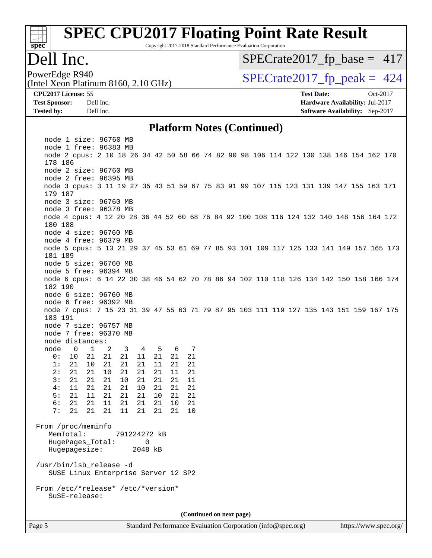# **[spec](http://www.spec.org/)**<sup>®</sup>

# **[SPEC CPU2017 Floating Point Rate Result](http://www.spec.org/auto/cpu2017/Docs/result-fields.html#SPECCPU2017FloatingPointRateResult)**

Copyright 2017-2018 Standard Performance Evaluation Corporation

#### Dell Inc.

[SPECrate2017\\_fp\\_base =](http://www.spec.org/auto/cpu2017/Docs/result-fields.html#SPECrate2017fpbase) 417

(Intel Xeon Platinum 8160, 2.10 GHz)

**[CPU2017 License:](http://www.spec.org/auto/cpu2017/Docs/result-fields.html#CPU2017License)** 55 **[Test Date:](http://www.spec.org/auto/cpu2017/Docs/result-fields.html#TestDate)** Oct-2017

PowerEdge R940<br>(Intel Xeon Platinum 8160 2.10 GHz)  $\begin{array}{c|c}\n\text{SPECrate2017\_fp\_peak = 424}\n\end{array}$ 

**[Test Sponsor:](http://www.spec.org/auto/cpu2017/Docs/result-fields.html#TestSponsor)** Dell Inc. **[Hardware Availability:](http://www.spec.org/auto/cpu2017/Docs/result-fields.html#HardwareAvailability)** Jul-2017 **[Tested by:](http://www.spec.org/auto/cpu2017/Docs/result-fields.html#Testedby)** Dell Inc. **[Software Availability:](http://www.spec.org/auto/cpu2017/Docs/result-fields.html#SoftwareAvailability)** Sep-2017

#### **[Platform Notes \(Continued\)](http://www.spec.org/auto/cpu2017/Docs/result-fields.html#PlatformNotes)**

Page 5 Standard Performance Evaluation Corporation [\(info@spec.org\)](mailto:info@spec.org) <https://www.spec.org/>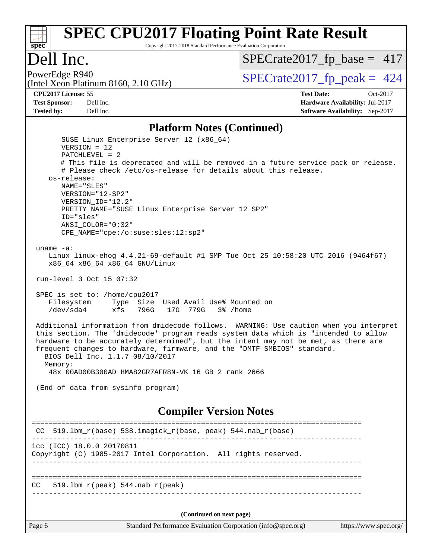#### **[spec](http://www.spec.org/) [SPEC CPU2017 Floating Point Rate Result](http://www.spec.org/auto/cpu2017/Docs/result-fields.html#SPECCPU2017FloatingPointRateResult)** Copyright 2017-2018 Standard Performance Evaluation Corporation

## Dell Inc.

[SPECrate2017\\_fp\\_base =](http://www.spec.org/auto/cpu2017/Docs/result-fields.html#SPECrate2017fpbase) 417

## PowerEdge R940<br>(Intel Xeon Platinum 8160, 2.10 GHz)  $\big|$  [SPECrate2017\\_fp\\_peak =](http://www.spec.org/auto/cpu2017/Docs/result-fields.html#SPECrate2017fppeak) 424

**[CPU2017 License:](http://www.spec.org/auto/cpu2017/Docs/result-fields.html#CPU2017License)** 55 **[Test Date:](http://www.spec.org/auto/cpu2017/Docs/result-fields.html#TestDate)** Oct-2017 **[Test Sponsor:](http://www.spec.org/auto/cpu2017/Docs/result-fields.html#TestSponsor)** Dell Inc. **[Hardware Availability:](http://www.spec.org/auto/cpu2017/Docs/result-fields.html#HardwareAvailability)** Jul-2017 **[Tested by:](http://www.spec.org/auto/cpu2017/Docs/result-fields.html#Testedby)** Dell Inc. **[Software Availability:](http://www.spec.org/auto/cpu2017/Docs/result-fields.html#SoftwareAvailability)** Sep-2017

#### **[Platform Notes \(Continued\)](http://www.spec.org/auto/cpu2017/Docs/result-fields.html#PlatformNotes)**

| SUSE Linux Enterprise Server 12 (x86_64)<br>$VERSION = 12$                                                                                                                                                                                                                                                                                                                        |
|-----------------------------------------------------------------------------------------------------------------------------------------------------------------------------------------------------------------------------------------------------------------------------------------------------------------------------------------------------------------------------------|
| $PATCHLEVEL = 2$                                                                                                                                                                                                                                                                                                                                                                  |
| # This file is deprecated and will be removed in a future service pack or release.                                                                                                                                                                                                                                                                                                |
| # Please check /etc/os-release for details about this release.                                                                                                                                                                                                                                                                                                                    |
| os-release:                                                                                                                                                                                                                                                                                                                                                                       |
| NAME="SLES"                                                                                                                                                                                                                                                                                                                                                                       |
| VERSION="12-SP2"                                                                                                                                                                                                                                                                                                                                                                  |
| VERSION_ID="12.2"                                                                                                                                                                                                                                                                                                                                                                 |
| PRETTY_NAME="SUSE Linux Enterprise Server 12 SP2"<br>ID="sles"                                                                                                                                                                                                                                                                                                                    |
| $ANSI$ _COLOR=" $0:32$ "                                                                                                                                                                                                                                                                                                                                                          |
| CPE_NAME="cpe:/o:suse:sles:12:sp2"                                                                                                                                                                                                                                                                                                                                                |
|                                                                                                                                                                                                                                                                                                                                                                                   |
| uname $-a$ :                                                                                                                                                                                                                                                                                                                                                                      |
| Linux linux-ehog 4.4.21-69-default #1 SMP Tue Oct 25 10:58:20 UTC 2016 (9464f67)                                                                                                                                                                                                                                                                                                  |
| x86_64 x86_64 x86_64 GNU/Linux                                                                                                                                                                                                                                                                                                                                                    |
|                                                                                                                                                                                                                                                                                                                                                                                   |
| run-level 3 Oct 15 07:32                                                                                                                                                                                                                                                                                                                                                          |
|                                                                                                                                                                                                                                                                                                                                                                                   |
| SPEC is set to: /home/cpu2017                                                                                                                                                                                                                                                                                                                                                     |
| Filesystem Type Size Used Avail Use% Mounted on                                                                                                                                                                                                                                                                                                                                   |
| /dev/sda4<br>xfs 796G 17G 779G 3% / home                                                                                                                                                                                                                                                                                                                                          |
| Additional information from dmidecode follows. WARNING: Use caution when you interpret<br>this section. The 'dmidecode' program reads system data which is "intended to allow<br>hardware to be accurately determined", but the intent may not be met, as there are<br>frequent changes to hardware, firmware, and the "DMTF SMBIOS" standard.<br>BIOS Dell Inc. 1.1.7 08/10/2017 |
| Memory:                                                                                                                                                                                                                                                                                                                                                                           |
| 48x 00AD00B300AD HMA82GR7AFR8N-VK 16 GB 2 rank 2666                                                                                                                                                                                                                                                                                                                               |
| (End of data from sysinfo program)                                                                                                                                                                                                                                                                                                                                                |
|                                                                                                                                                                                                                                                                                                                                                                                   |
| <b>Compiler Version Notes</b>                                                                                                                                                                                                                                                                                                                                                     |
| ============================                                                                                                                                                                                                                                                                                                                                                      |
| CC $519.1bm_r(base) 538.imagick_r(base, peak) 544. nab_r(base)$                                                                                                                                                                                                                                                                                                                   |
| icc (ICC) 18.0.0 20170811                                                                                                                                                                                                                                                                                                                                                         |
| Copyright (C) 1985-2017 Intel Corporation. All rights reserved.                                                                                                                                                                                                                                                                                                                   |
|                                                                                                                                                                                                                                                                                                                                                                                   |
|                                                                                                                                                                                                                                                                                                                                                                                   |
| $519.1bm_r(peak) 544.nab_r(peak)$<br>CC                                                                                                                                                                                                                                                                                                                                           |
|                                                                                                                                                                                                                                                                                                                                                                                   |
|                                                                                                                                                                                                                                                                                                                                                                                   |
|                                                                                                                                                                                                                                                                                                                                                                                   |

**(Continued on next page)**

Page 6 Standard Performance Evaluation Corporation [\(info@spec.org\)](mailto:info@spec.org) <https://www.spec.org/>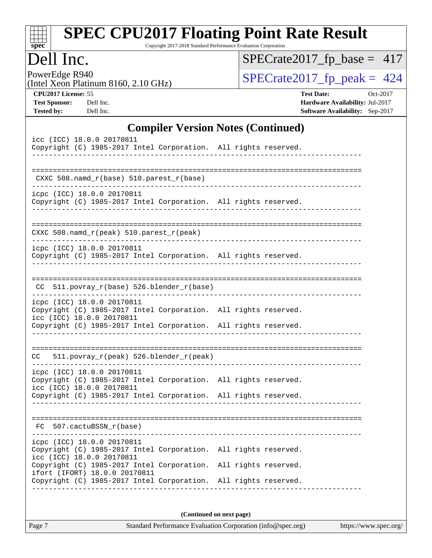| Dell Inc.                                                                                                                                                                                     |                                            |                                           |  | Copyright 2017-2018 Standard Performance Evaluation Corporation | $SPECrate2017_fp\_base = 417$         |                   |                                                                           |          |
|-----------------------------------------------------------------------------------------------------------------------------------------------------------------------------------------------|--------------------------------------------|-------------------------------------------|--|-----------------------------------------------------------------|---------------------------------------|-------------------|---------------------------------------------------------------------------|----------|
| PowerEdge R940                                                                                                                                                                                |                                            |                                           |  |                                                                 | $SPECrate2017_fp\_peak = 424$         |                   |                                                                           |          |
| (Intel Xeon Platinum 8160, 2.10 GHz)                                                                                                                                                          |                                            |                                           |  |                                                                 |                                       |                   |                                                                           |          |
| CPU2017 License: 55<br><b>Test Sponsor:</b><br><b>Tested by:</b>                                                                                                                              | Dell Inc.<br>Dell Inc.                     |                                           |  |                                                                 |                                       | <b>Test Date:</b> | Hardware Availability: Jul-2017<br><b>Software Availability:</b> Sep-2017 | Oct-2017 |
|                                                                                                                                                                                               |                                            | <b>Compiler Version Notes (Continued)</b> |  |                                                                 |                                       |                   |                                                                           |          |
| icc (ICC) 18.0.0 20170811<br>Copyright (C) 1985-2017 Intel Corporation. All rights reserved.                                                                                                  |                                            |                                           |  |                                                                 |                                       |                   |                                                                           |          |
|                                                                                                                                                                                               | $CXXC 508.namd_r(base) 510.parest_r(base)$ |                                           |  |                                                                 |                                       |                   |                                                                           |          |
| icpc (ICC) 18.0.0 20170811<br>Copyright (C) 1985-2017 Intel Corporation. All rights reserved.                                                                                                 |                                            |                                           |  |                                                                 | _____________________________________ |                   |                                                                           |          |
| CXXC 508.namd_r(peak) 510.parest_r(peak)                                                                                                                                                      |                                            |                                           |  |                                                                 |                                       |                   |                                                                           |          |
| icpc (ICC) 18.0.0 20170811<br>Copyright (C) 1985-2017 Intel Corporation. All rights reserved.                                                                                                 |                                            |                                           |  |                                                                 |                                       |                   |                                                                           |          |
|                                                                                                                                                                                               |                                            | CC 511.povray_r(base) 526.blender_r(base) |  |                                                                 |                                       |                   |                                                                           |          |
|                                                                                                                                                                                               |                                            |                                           |  |                                                                 |                                       |                   |                                                                           |          |
| icpc (ICC) 18.0.0 20170811<br>Copyright (C) 1985-2017 Intel Corporation. All rights reserved.<br>icc (ICC) 18.0.0 20170811<br>Copyright (C) 1985-2017 Intel Corporation. All rights reserved. |                                            |                                           |  |                                                                 |                                       |                   |                                                                           |          |
| CC.                                                                                                                                                                                           | 511.povray_r(peak) 526.blender_r(peak)     |                                           |  |                                                                 |                                       |                   |                                                                           |          |
| icpc (ICC) 18.0.0 20170811<br>Copyright (C) 1985-2017 Intel Corporation. All rights reserved.<br>icc (ICC) 18.0.0 20170811                                                                    |                                            |                                           |  |                                                                 |                                       |                   |                                                                           |          |
| Copyright (C) 1985-2017 Intel Corporation. All rights reserved.                                                                                                                               | FC 507.cactuBSSN_r(base)                   |                                           |  |                                                                 |                                       |                   |                                                                           |          |
| icpc (ICC) 18.0.0 20170811<br>Copyright (C) 1985-2017 Intel Corporation. All rights reserved.<br>icc (ICC) 18.0.0 20170811<br>Copyright (C) 1985-2017 Intel Corporation. All rights reserved. |                                            |                                           |  |                                                                 |                                       |                   |                                                                           |          |

**(Continued on next page)**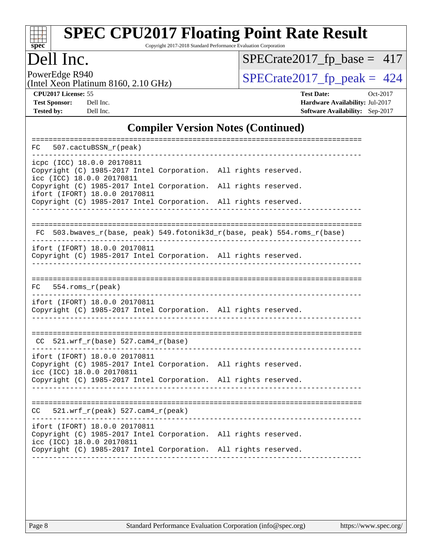

Copyright 2017-2018 Standard Performance Evaluation Corporation

#### Dell Inc.

[SPECrate2017\\_fp\\_base =](http://www.spec.org/auto/cpu2017/Docs/result-fields.html#SPECrate2017fpbase) 417

PowerEdge R940<br>(Intel Xeon Platinum 8160, 2.10 GHz)

 $SPECTate 2017_fp\_peak = 424$ 

**[CPU2017 License:](http://www.spec.org/auto/cpu2017/Docs/result-fields.html#CPU2017License)** 55 **[Test Date:](http://www.spec.org/auto/cpu2017/Docs/result-fields.html#TestDate)** Oct-2017 **[Test Sponsor:](http://www.spec.org/auto/cpu2017/Docs/result-fields.html#TestSponsor)** Dell Inc. **[Hardware Availability:](http://www.spec.org/auto/cpu2017/Docs/result-fields.html#HardwareAvailability)** Jul-2017 **[Tested by:](http://www.spec.org/auto/cpu2017/Docs/result-fields.html#Testedby)** Dell Inc. **[Software Availability:](http://www.spec.org/auto/cpu2017/Docs/result-fields.html#SoftwareAvailability)** Sep-2017

#### **[Compiler Version Notes \(Continued\)](http://www.spec.org/auto/cpu2017/Docs/result-fields.html#CompilerVersionNotes)**

| 507.cactuBSSN r(peak)<br>FC                                                                                                                                                 |                      |
|-----------------------------------------------------------------------------------------------------------------------------------------------------------------------------|----------------------|
| icpc (ICC) 18.0.0 20170811<br>Copyright (C) 1985-2017 Intel Corporation. All rights reserved.<br>icc (ICC) 18.0.0 20170811                                                  |                      |
| Copyright (C) 1985-2017 Intel Corporation.<br>ifort (IFORT) 18.0.0 20170811                                                                                                 | All rights reserved. |
| Copyright (C) 1985-2017 Intel Corporation.                                                                                                                                  | All rights reserved. |
| FC 503.bwaves_r(base, peak) 549.fotonik3d_r(base, peak) 554.roms_r(base)                                                                                                    |                      |
| ifort (IFORT) 18.0.0 20170811<br>Copyright (C) 1985-2017 Intel Corporation. All rights reserved.                                                                            |                      |
| $FC 554.rows_r (peak)$                                                                                                                                                      |                      |
| ifort (IFORT) 18.0.0 20170811<br>Copyright (C) 1985-2017 Intel Corporation. All rights reserved.                                                                            |                      |
| $CC$ 521.wrf_r(base) 527.cam4_r(base)                                                                                                                                       |                      |
| ifort (IFORT) 18.0.0 20170811<br>Copyright (C) 1985-2017 Intel Corporation. All rights reserved.<br>icc (ICC) 18.0.0 20170811                                               |                      |
| Copyright (C) 1985-2017 Intel Corporation. All rights reserved.                                                                                                             |                      |
| $CC = 521.wrf_r(peak) 527.cam4_r(peak)$                                                                                                                                     |                      |
| ifort (IFORT) 18.0.0 20170811<br>Copyright (C) 1985-2017 Intel Corporation. All rights reserved.<br>icc (ICC) 18.0.0 20170811<br>Copyright (C) 1985-2017 Intel Corporation. | All rights reserved. |
|                                                                                                                                                                             |                      |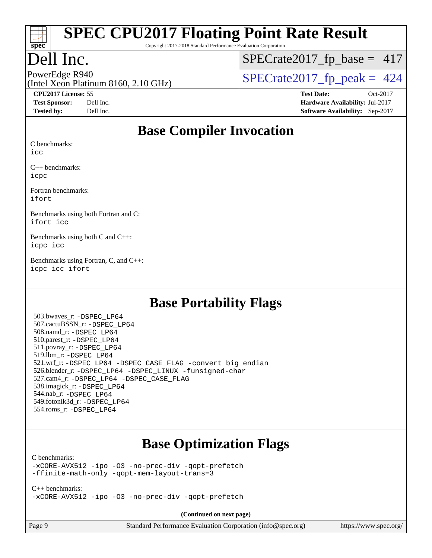

Copyright 2017-2018 Standard Performance Evaluation Corporation

## Dell Inc.

 $SPECTate2017_fp\_base = 417$ 

(Intel Xeon Platinum 8160, 2.10 GHz)

PowerEdge R940<br>(Intel Xeon Platinum 8160, 2.10 GHz)  $\begin{array}{c|c}\n\text{SPECrate2017\_fp\_peak = 424}\n\end{array}$ 

**[CPU2017 License:](http://www.spec.org/auto/cpu2017/Docs/result-fields.html#CPU2017License)** 55 **[Test Date:](http://www.spec.org/auto/cpu2017/Docs/result-fields.html#TestDate)** Oct-2017 **[Test Sponsor:](http://www.spec.org/auto/cpu2017/Docs/result-fields.html#TestSponsor)** Dell Inc. **[Hardware Availability:](http://www.spec.org/auto/cpu2017/Docs/result-fields.html#HardwareAvailability)** Jul-2017 **[Tested by:](http://www.spec.org/auto/cpu2017/Docs/result-fields.html#Testedby)** Dell Inc. **[Software Availability:](http://www.spec.org/auto/cpu2017/Docs/result-fields.html#SoftwareAvailability)** Sep-2017

#### **[Base Compiler Invocation](http://www.spec.org/auto/cpu2017/Docs/result-fields.html#BaseCompilerInvocation)**

[C benchmarks:](http://www.spec.org/auto/cpu2017/Docs/result-fields.html#Cbenchmarks)

[icc](http://www.spec.org/cpu2017/results/res2017q4/cpu2017-20171030-00245.flags.html#user_CCbase_intel_icc_18.0_66fc1ee009f7361af1fbd72ca7dcefbb700085f36577c54f309893dd4ec40d12360134090235512931783d35fd58c0460139e722d5067c5574d8eaf2b3e37e92)

[C++ benchmarks:](http://www.spec.org/auto/cpu2017/Docs/result-fields.html#CXXbenchmarks) [icpc](http://www.spec.org/cpu2017/results/res2017q4/cpu2017-20171030-00245.flags.html#user_CXXbase_intel_icpc_18.0_c510b6838c7f56d33e37e94d029a35b4a7bccf4766a728ee175e80a419847e808290a9b78be685c44ab727ea267ec2f070ec5dc83b407c0218cded6866a35d07)

[Fortran benchmarks](http://www.spec.org/auto/cpu2017/Docs/result-fields.html#Fortranbenchmarks): [ifort](http://www.spec.org/cpu2017/results/res2017q4/cpu2017-20171030-00245.flags.html#user_FCbase_intel_ifort_18.0_8111460550e3ca792625aed983ce982f94888b8b503583aa7ba2b8303487b4d8a21a13e7191a45c5fd58ff318f48f9492884d4413fa793fd88dd292cad7027ca)

[Benchmarks using both Fortran and C:](http://www.spec.org/auto/cpu2017/Docs/result-fields.html#BenchmarksusingbothFortranandC) [ifort](http://www.spec.org/cpu2017/results/res2017q4/cpu2017-20171030-00245.flags.html#user_CC_FCbase_intel_ifort_18.0_8111460550e3ca792625aed983ce982f94888b8b503583aa7ba2b8303487b4d8a21a13e7191a45c5fd58ff318f48f9492884d4413fa793fd88dd292cad7027ca) [icc](http://www.spec.org/cpu2017/results/res2017q4/cpu2017-20171030-00245.flags.html#user_CC_FCbase_intel_icc_18.0_66fc1ee009f7361af1fbd72ca7dcefbb700085f36577c54f309893dd4ec40d12360134090235512931783d35fd58c0460139e722d5067c5574d8eaf2b3e37e92)

[Benchmarks using both C and C++](http://www.spec.org/auto/cpu2017/Docs/result-fields.html#BenchmarksusingbothCandCXX): [icpc](http://www.spec.org/cpu2017/results/res2017q4/cpu2017-20171030-00245.flags.html#user_CC_CXXbase_intel_icpc_18.0_c510b6838c7f56d33e37e94d029a35b4a7bccf4766a728ee175e80a419847e808290a9b78be685c44ab727ea267ec2f070ec5dc83b407c0218cded6866a35d07) [icc](http://www.spec.org/cpu2017/results/res2017q4/cpu2017-20171030-00245.flags.html#user_CC_CXXbase_intel_icc_18.0_66fc1ee009f7361af1fbd72ca7dcefbb700085f36577c54f309893dd4ec40d12360134090235512931783d35fd58c0460139e722d5067c5574d8eaf2b3e37e92)

[Benchmarks using Fortran, C, and C++:](http://www.spec.org/auto/cpu2017/Docs/result-fields.html#BenchmarksusingFortranCandCXX) [icpc](http://www.spec.org/cpu2017/results/res2017q4/cpu2017-20171030-00245.flags.html#user_CC_CXX_FCbase_intel_icpc_18.0_c510b6838c7f56d33e37e94d029a35b4a7bccf4766a728ee175e80a419847e808290a9b78be685c44ab727ea267ec2f070ec5dc83b407c0218cded6866a35d07) [icc](http://www.spec.org/cpu2017/results/res2017q4/cpu2017-20171030-00245.flags.html#user_CC_CXX_FCbase_intel_icc_18.0_66fc1ee009f7361af1fbd72ca7dcefbb700085f36577c54f309893dd4ec40d12360134090235512931783d35fd58c0460139e722d5067c5574d8eaf2b3e37e92) [ifort](http://www.spec.org/cpu2017/results/res2017q4/cpu2017-20171030-00245.flags.html#user_CC_CXX_FCbase_intel_ifort_18.0_8111460550e3ca792625aed983ce982f94888b8b503583aa7ba2b8303487b4d8a21a13e7191a45c5fd58ff318f48f9492884d4413fa793fd88dd292cad7027ca)

#### **[Base Portability Flags](http://www.spec.org/auto/cpu2017/Docs/result-fields.html#BasePortabilityFlags)**

 503.bwaves\_r: [-DSPEC\\_LP64](http://www.spec.org/cpu2017/results/res2017q4/cpu2017-20171030-00245.flags.html#suite_basePORTABILITY503_bwaves_r_DSPEC_LP64) 507.cactuBSSN\_r: [-DSPEC\\_LP64](http://www.spec.org/cpu2017/results/res2017q4/cpu2017-20171030-00245.flags.html#suite_basePORTABILITY507_cactuBSSN_r_DSPEC_LP64) 508.namd\_r: [-DSPEC\\_LP64](http://www.spec.org/cpu2017/results/res2017q4/cpu2017-20171030-00245.flags.html#suite_basePORTABILITY508_namd_r_DSPEC_LP64) 510.parest\_r: [-DSPEC\\_LP64](http://www.spec.org/cpu2017/results/res2017q4/cpu2017-20171030-00245.flags.html#suite_basePORTABILITY510_parest_r_DSPEC_LP64) 511.povray\_r: [-DSPEC\\_LP64](http://www.spec.org/cpu2017/results/res2017q4/cpu2017-20171030-00245.flags.html#suite_basePORTABILITY511_povray_r_DSPEC_LP64) 519.lbm\_r: [-DSPEC\\_LP64](http://www.spec.org/cpu2017/results/res2017q4/cpu2017-20171030-00245.flags.html#suite_basePORTABILITY519_lbm_r_DSPEC_LP64) 521.wrf\_r: [-DSPEC\\_LP64](http://www.spec.org/cpu2017/results/res2017q4/cpu2017-20171030-00245.flags.html#suite_basePORTABILITY521_wrf_r_DSPEC_LP64) [-DSPEC\\_CASE\\_FLAG](http://www.spec.org/cpu2017/results/res2017q4/cpu2017-20171030-00245.flags.html#b521.wrf_r_baseCPORTABILITY_DSPEC_CASE_FLAG) [-convert big\\_endian](http://www.spec.org/cpu2017/results/res2017q4/cpu2017-20171030-00245.flags.html#user_baseFPORTABILITY521_wrf_r_convert_big_endian_c3194028bc08c63ac5d04de18c48ce6d347e4e562e8892b8bdbdc0214820426deb8554edfa529a3fb25a586e65a3d812c835984020483e7e73212c4d31a38223) 526.blender\_r: [-DSPEC\\_LP64](http://www.spec.org/cpu2017/results/res2017q4/cpu2017-20171030-00245.flags.html#suite_basePORTABILITY526_blender_r_DSPEC_LP64) [-DSPEC\\_LINUX](http://www.spec.org/cpu2017/results/res2017q4/cpu2017-20171030-00245.flags.html#b526.blender_r_baseCPORTABILITY_DSPEC_LINUX) [-funsigned-char](http://www.spec.org/cpu2017/results/res2017q4/cpu2017-20171030-00245.flags.html#user_baseCPORTABILITY526_blender_r_force_uchar_40c60f00ab013830e2dd6774aeded3ff59883ba5a1fc5fc14077f794d777847726e2a5858cbc7672e36e1b067e7e5c1d9a74f7176df07886a243d7cc18edfe67) 527.cam4\_r: [-DSPEC\\_LP64](http://www.spec.org/cpu2017/results/res2017q4/cpu2017-20171030-00245.flags.html#suite_basePORTABILITY527_cam4_r_DSPEC_LP64) [-DSPEC\\_CASE\\_FLAG](http://www.spec.org/cpu2017/results/res2017q4/cpu2017-20171030-00245.flags.html#b527.cam4_r_baseCPORTABILITY_DSPEC_CASE_FLAG) 538.imagick\_r: [-DSPEC\\_LP64](http://www.spec.org/cpu2017/results/res2017q4/cpu2017-20171030-00245.flags.html#suite_basePORTABILITY538_imagick_r_DSPEC_LP64) 544.nab\_r: [-DSPEC\\_LP64](http://www.spec.org/cpu2017/results/res2017q4/cpu2017-20171030-00245.flags.html#suite_basePORTABILITY544_nab_r_DSPEC_LP64) 549.fotonik3d\_r: [-DSPEC\\_LP64](http://www.spec.org/cpu2017/results/res2017q4/cpu2017-20171030-00245.flags.html#suite_basePORTABILITY549_fotonik3d_r_DSPEC_LP64) 554.roms\_r: [-DSPEC\\_LP64](http://www.spec.org/cpu2017/results/res2017q4/cpu2017-20171030-00245.flags.html#suite_basePORTABILITY554_roms_r_DSPEC_LP64)

## **[Base Optimization Flags](http://www.spec.org/auto/cpu2017/Docs/result-fields.html#BaseOptimizationFlags)**

#### [C benchmarks](http://www.spec.org/auto/cpu2017/Docs/result-fields.html#Cbenchmarks):

[-xCORE-AVX512](http://www.spec.org/cpu2017/results/res2017q4/cpu2017-20171030-00245.flags.html#user_CCbase_f-xCORE-AVX512) [-ipo](http://www.spec.org/cpu2017/results/res2017q4/cpu2017-20171030-00245.flags.html#user_CCbase_f-ipo) [-O3](http://www.spec.org/cpu2017/results/res2017q4/cpu2017-20171030-00245.flags.html#user_CCbase_f-O3) [-no-prec-div](http://www.spec.org/cpu2017/results/res2017q4/cpu2017-20171030-00245.flags.html#user_CCbase_f-no-prec-div) [-qopt-prefetch](http://www.spec.org/cpu2017/results/res2017q4/cpu2017-20171030-00245.flags.html#user_CCbase_f-qopt-prefetch) [-ffinite-math-only](http://www.spec.org/cpu2017/results/res2017q4/cpu2017-20171030-00245.flags.html#user_CCbase_f_finite_math_only_cb91587bd2077682c4b38af759c288ed7c732db004271a9512da14a4f8007909a5f1427ecbf1a0fb78ff2a814402c6114ac565ca162485bbcae155b5e4258871) [-qopt-mem-layout-trans=3](http://www.spec.org/cpu2017/results/res2017q4/cpu2017-20171030-00245.flags.html#user_CCbase_f-qopt-mem-layout-trans_de80db37974c74b1f0e20d883f0b675c88c3b01e9d123adea9b28688d64333345fb62bc4a798493513fdb68f60282f9a726aa07f478b2f7113531aecce732043)

[C++ benchmarks:](http://www.spec.org/auto/cpu2017/Docs/result-fields.html#CXXbenchmarks) [-xCORE-AVX512](http://www.spec.org/cpu2017/results/res2017q4/cpu2017-20171030-00245.flags.html#user_CXXbase_f-xCORE-AVX512) [-ipo](http://www.spec.org/cpu2017/results/res2017q4/cpu2017-20171030-00245.flags.html#user_CXXbase_f-ipo) [-O3](http://www.spec.org/cpu2017/results/res2017q4/cpu2017-20171030-00245.flags.html#user_CXXbase_f-O3) [-no-prec-div](http://www.spec.org/cpu2017/results/res2017q4/cpu2017-20171030-00245.flags.html#user_CXXbase_f-no-prec-div) [-qopt-prefetch](http://www.spec.org/cpu2017/results/res2017q4/cpu2017-20171030-00245.flags.html#user_CXXbase_f-qopt-prefetch)

**(Continued on next page)**

| Page ! | $\Omega$ |
|--------|----------|
|        |          |

Page 9 Standard Performance Evaluation Corporation [\(info@spec.org\)](mailto:info@spec.org) <https://www.spec.org/>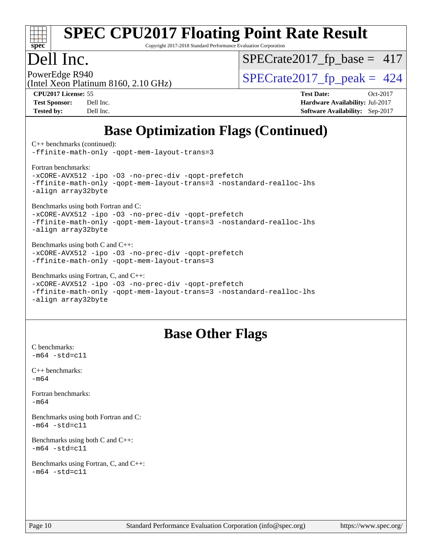

Copyright 2017-2018 Standard Performance Evaluation Corporation

## Dell Inc.

 $SPECTate2017_fp\_base = 417$ 

(Intel Xeon Platinum 8160, 2.10 GHz)

PowerEdge R940<br>(Intel Xeon Platinum 8160 2.10 GHz)  $\begin{array}{c|c}\n\text{SPECrate2017\_fp\_peak = 424}\n\end{array}$ 

**[CPU2017 License:](http://www.spec.org/auto/cpu2017/Docs/result-fields.html#CPU2017License)** 55 **[Test Date:](http://www.spec.org/auto/cpu2017/Docs/result-fields.html#TestDate)** Oct-2017 **[Test Sponsor:](http://www.spec.org/auto/cpu2017/Docs/result-fields.html#TestSponsor)** Dell Inc. **[Hardware Availability:](http://www.spec.org/auto/cpu2017/Docs/result-fields.html#HardwareAvailability)** Jul-2017 **[Tested by:](http://www.spec.org/auto/cpu2017/Docs/result-fields.html#Testedby)** Dell Inc. **[Software Availability:](http://www.spec.org/auto/cpu2017/Docs/result-fields.html#SoftwareAvailability)** Sep-2017

## **[Base Optimization Flags \(Continued\)](http://www.spec.org/auto/cpu2017/Docs/result-fields.html#BaseOptimizationFlags)**

[C++ benchmarks](http://www.spec.org/auto/cpu2017/Docs/result-fields.html#CXXbenchmarks) (continued):

[-ffinite-math-only](http://www.spec.org/cpu2017/results/res2017q4/cpu2017-20171030-00245.flags.html#user_CXXbase_f_finite_math_only_cb91587bd2077682c4b38af759c288ed7c732db004271a9512da14a4f8007909a5f1427ecbf1a0fb78ff2a814402c6114ac565ca162485bbcae155b5e4258871) [-qopt-mem-layout-trans=3](http://www.spec.org/cpu2017/results/res2017q4/cpu2017-20171030-00245.flags.html#user_CXXbase_f-qopt-mem-layout-trans_de80db37974c74b1f0e20d883f0b675c88c3b01e9d123adea9b28688d64333345fb62bc4a798493513fdb68f60282f9a726aa07f478b2f7113531aecce732043)

[Fortran benchmarks](http://www.spec.org/auto/cpu2017/Docs/result-fields.html#Fortranbenchmarks):

[-xCORE-AVX512](http://www.spec.org/cpu2017/results/res2017q4/cpu2017-20171030-00245.flags.html#user_FCbase_f-xCORE-AVX512) [-ipo](http://www.spec.org/cpu2017/results/res2017q4/cpu2017-20171030-00245.flags.html#user_FCbase_f-ipo) [-O3](http://www.spec.org/cpu2017/results/res2017q4/cpu2017-20171030-00245.flags.html#user_FCbase_f-O3) [-no-prec-div](http://www.spec.org/cpu2017/results/res2017q4/cpu2017-20171030-00245.flags.html#user_FCbase_f-no-prec-div) [-qopt-prefetch](http://www.spec.org/cpu2017/results/res2017q4/cpu2017-20171030-00245.flags.html#user_FCbase_f-qopt-prefetch) [-ffinite-math-only](http://www.spec.org/cpu2017/results/res2017q4/cpu2017-20171030-00245.flags.html#user_FCbase_f_finite_math_only_cb91587bd2077682c4b38af759c288ed7c732db004271a9512da14a4f8007909a5f1427ecbf1a0fb78ff2a814402c6114ac565ca162485bbcae155b5e4258871) [-qopt-mem-layout-trans=3](http://www.spec.org/cpu2017/results/res2017q4/cpu2017-20171030-00245.flags.html#user_FCbase_f-qopt-mem-layout-trans_de80db37974c74b1f0e20d883f0b675c88c3b01e9d123adea9b28688d64333345fb62bc4a798493513fdb68f60282f9a726aa07f478b2f7113531aecce732043) [-nostandard-realloc-lhs](http://www.spec.org/cpu2017/results/res2017q4/cpu2017-20171030-00245.flags.html#user_FCbase_f_2003_std_realloc_82b4557e90729c0f113870c07e44d33d6f5a304b4f63d4c15d2d0f1fab99f5daaed73bdb9275d9ae411527f28b936061aa8b9c8f2d63842963b95c9dd6426b8a) [-align array32byte](http://www.spec.org/cpu2017/results/res2017q4/cpu2017-20171030-00245.flags.html#user_FCbase_align_array32byte_b982fe038af199962ba9a80c053b8342c548c85b40b8e86eb3cc33dee0d7986a4af373ac2d51c3f7cf710a18d62fdce2948f201cd044323541f22fc0fffc51b6)

[Benchmarks using both Fortran and C](http://www.spec.org/auto/cpu2017/Docs/result-fields.html#BenchmarksusingbothFortranandC):

[-xCORE-AVX512](http://www.spec.org/cpu2017/results/res2017q4/cpu2017-20171030-00245.flags.html#user_CC_FCbase_f-xCORE-AVX512) [-ipo](http://www.spec.org/cpu2017/results/res2017q4/cpu2017-20171030-00245.flags.html#user_CC_FCbase_f-ipo) [-O3](http://www.spec.org/cpu2017/results/res2017q4/cpu2017-20171030-00245.flags.html#user_CC_FCbase_f-O3) [-no-prec-div](http://www.spec.org/cpu2017/results/res2017q4/cpu2017-20171030-00245.flags.html#user_CC_FCbase_f-no-prec-div) [-qopt-prefetch](http://www.spec.org/cpu2017/results/res2017q4/cpu2017-20171030-00245.flags.html#user_CC_FCbase_f-qopt-prefetch) [-ffinite-math-only](http://www.spec.org/cpu2017/results/res2017q4/cpu2017-20171030-00245.flags.html#user_CC_FCbase_f_finite_math_only_cb91587bd2077682c4b38af759c288ed7c732db004271a9512da14a4f8007909a5f1427ecbf1a0fb78ff2a814402c6114ac565ca162485bbcae155b5e4258871) [-qopt-mem-layout-trans=3](http://www.spec.org/cpu2017/results/res2017q4/cpu2017-20171030-00245.flags.html#user_CC_FCbase_f-qopt-mem-layout-trans_de80db37974c74b1f0e20d883f0b675c88c3b01e9d123adea9b28688d64333345fb62bc4a798493513fdb68f60282f9a726aa07f478b2f7113531aecce732043) [-nostandard-realloc-lhs](http://www.spec.org/cpu2017/results/res2017q4/cpu2017-20171030-00245.flags.html#user_CC_FCbase_f_2003_std_realloc_82b4557e90729c0f113870c07e44d33d6f5a304b4f63d4c15d2d0f1fab99f5daaed73bdb9275d9ae411527f28b936061aa8b9c8f2d63842963b95c9dd6426b8a) [-align array32byte](http://www.spec.org/cpu2017/results/res2017q4/cpu2017-20171030-00245.flags.html#user_CC_FCbase_align_array32byte_b982fe038af199962ba9a80c053b8342c548c85b40b8e86eb3cc33dee0d7986a4af373ac2d51c3f7cf710a18d62fdce2948f201cd044323541f22fc0fffc51b6)

[Benchmarks using both C and C++](http://www.spec.org/auto/cpu2017/Docs/result-fields.html#BenchmarksusingbothCandCXX): [-xCORE-AVX512](http://www.spec.org/cpu2017/results/res2017q4/cpu2017-20171030-00245.flags.html#user_CC_CXXbase_f-xCORE-AVX512) [-ipo](http://www.spec.org/cpu2017/results/res2017q4/cpu2017-20171030-00245.flags.html#user_CC_CXXbase_f-ipo) [-O3](http://www.spec.org/cpu2017/results/res2017q4/cpu2017-20171030-00245.flags.html#user_CC_CXXbase_f-O3) [-no-prec-div](http://www.spec.org/cpu2017/results/res2017q4/cpu2017-20171030-00245.flags.html#user_CC_CXXbase_f-no-prec-div) [-qopt-prefetch](http://www.spec.org/cpu2017/results/res2017q4/cpu2017-20171030-00245.flags.html#user_CC_CXXbase_f-qopt-prefetch) [-ffinite-math-only](http://www.spec.org/cpu2017/results/res2017q4/cpu2017-20171030-00245.flags.html#user_CC_CXXbase_f_finite_math_only_cb91587bd2077682c4b38af759c288ed7c732db004271a9512da14a4f8007909a5f1427ecbf1a0fb78ff2a814402c6114ac565ca162485bbcae155b5e4258871) [-qopt-mem-layout-trans=3](http://www.spec.org/cpu2017/results/res2017q4/cpu2017-20171030-00245.flags.html#user_CC_CXXbase_f-qopt-mem-layout-trans_de80db37974c74b1f0e20d883f0b675c88c3b01e9d123adea9b28688d64333345fb62bc4a798493513fdb68f60282f9a726aa07f478b2f7113531aecce732043)

[Benchmarks using Fortran, C, and C++:](http://www.spec.org/auto/cpu2017/Docs/result-fields.html#BenchmarksusingFortranCandCXX)

[-xCORE-AVX512](http://www.spec.org/cpu2017/results/res2017q4/cpu2017-20171030-00245.flags.html#user_CC_CXX_FCbase_f-xCORE-AVX512) [-ipo](http://www.spec.org/cpu2017/results/res2017q4/cpu2017-20171030-00245.flags.html#user_CC_CXX_FCbase_f-ipo) [-O3](http://www.spec.org/cpu2017/results/res2017q4/cpu2017-20171030-00245.flags.html#user_CC_CXX_FCbase_f-O3) [-no-prec-div](http://www.spec.org/cpu2017/results/res2017q4/cpu2017-20171030-00245.flags.html#user_CC_CXX_FCbase_f-no-prec-div) [-qopt-prefetch](http://www.spec.org/cpu2017/results/res2017q4/cpu2017-20171030-00245.flags.html#user_CC_CXX_FCbase_f-qopt-prefetch) [-ffinite-math-only](http://www.spec.org/cpu2017/results/res2017q4/cpu2017-20171030-00245.flags.html#user_CC_CXX_FCbase_f_finite_math_only_cb91587bd2077682c4b38af759c288ed7c732db004271a9512da14a4f8007909a5f1427ecbf1a0fb78ff2a814402c6114ac565ca162485bbcae155b5e4258871) [-qopt-mem-layout-trans=3](http://www.spec.org/cpu2017/results/res2017q4/cpu2017-20171030-00245.flags.html#user_CC_CXX_FCbase_f-qopt-mem-layout-trans_de80db37974c74b1f0e20d883f0b675c88c3b01e9d123adea9b28688d64333345fb62bc4a798493513fdb68f60282f9a726aa07f478b2f7113531aecce732043) [-nostandard-realloc-lhs](http://www.spec.org/cpu2017/results/res2017q4/cpu2017-20171030-00245.flags.html#user_CC_CXX_FCbase_f_2003_std_realloc_82b4557e90729c0f113870c07e44d33d6f5a304b4f63d4c15d2d0f1fab99f5daaed73bdb9275d9ae411527f28b936061aa8b9c8f2d63842963b95c9dd6426b8a) [-align array32byte](http://www.spec.org/cpu2017/results/res2017q4/cpu2017-20171030-00245.flags.html#user_CC_CXX_FCbase_align_array32byte_b982fe038af199962ba9a80c053b8342c548c85b40b8e86eb3cc33dee0d7986a4af373ac2d51c3f7cf710a18d62fdce2948f201cd044323541f22fc0fffc51b6)

## **[Base Other Flags](http://www.spec.org/auto/cpu2017/Docs/result-fields.html#BaseOtherFlags)**

[C benchmarks](http://www.spec.org/auto/cpu2017/Docs/result-fields.html#Cbenchmarks):  $-m64 - std= c11$  $-m64 - std= c11$ [C++ benchmarks:](http://www.spec.org/auto/cpu2017/Docs/result-fields.html#CXXbenchmarks)

 $-m64$ 

[Fortran benchmarks](http://www.spec.org/auto/cpu2017/Docs/result-fields.html#Fortranbenchmarks): [-m64](http://www.spec.org/cpu2017/results/res2017q4/cpu2017-20171030-00245.flags.html#user_FCbase_intel_intel64_18.0_af43caccfc8ded86e7699f2159af6efc7655f51387b94da716254467f3c01020a5059329e2569e4053f409e7c9202a7efc638f7a6d1ffb3f52dea4a3e31d82ab)

[Benchmarks using both Fortran and C](http://www.spec.org/auto/cpu2017/Docs/result-fields.html#BenchmarksusingbothFortranandC):  $-m64 - std= c11$  $-m64 - std= c11$ 

[Benchmarks using both C and C++](http://www.spec.org/auto/cpu2017/Docs/result-fields.html#BenchmarksusingbothCandCXX):  $-m64 - std= c11$  $-m64 - std= c11$ 

[Benchmarks using Fortran, C, and C++:](http://www.spec.org/auto/cpu2017/Docs/result-fields.html#BenchmarksusingFortranCandCXX)  $-m64 - std= c11$  $-m64 - std= c11$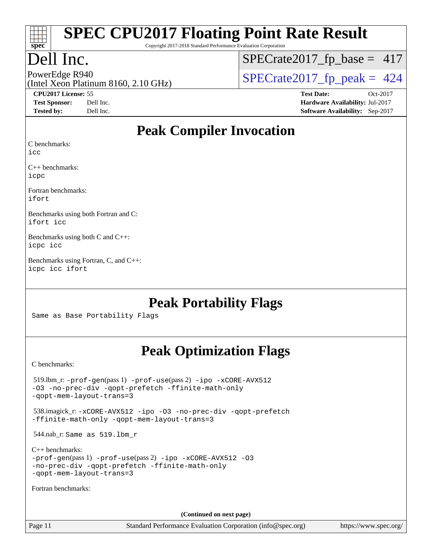

Copyright 2017-2018 Standard Performance Evaluation Corporation

## Dell Inc.

 $SPECTate2017_fp\_base = 417$ 

(Intel Xeon Platinum 8160, 2.10 GHz)

PowerEdge R940<br>(Intel Xeon Platinum 8160 2.10 GHz)  $\begin{array}{c|c}\n\text{SPECrate2017\_fp\_peak = 424}\n\end{array}$ 

**[CPU2017 License:](http://www.spec.org/auto/cpu2017/Docs/result-fields.html#CPU2017License)** 55 **[Test Date:](http://www.spec.org/auto/cpu2017/Docs/result-fields.html#TestDate)** Oct-2017 **[Test Sponsor:](http://www.spec.org/auto/cpu2017/Docs/result-fields.html#TestSponsor)** Dell Inc. **[Hardware Availability:](http://www.spec.org/auto/cpu2017/Docs/result-fields.html#HardwareAvailability)** Jul-2017 **[Tested by:](http://www.spec.org/auto/cpu2017/Docs/result-fields.html#Testedby)** Dell Inc. **[Software Availability:](http://www.spec.org/auto/cpu2017/Docs/result-fields.html#SoftwareAvailability)** Sep-2017

#### **[Peak Compiler Invocation](http://www.spec.org/auto/cpu2017/Docs/result-fields.html#PeakCompilerInvocation)**

[C benchmarks](http://www.spec.org/auto/cpu2017/Docs/result-fields.html#Cbenchmarks):

[icc](http://www.spec.org/cpu2017/results/res2017q4/cpu2017-20171030-00245.flags.html#user_CCpeak_intel_icc_18.0_66fc1ee009f7361af1fbd72ca7dcefbb700085f36577c54f309893dd4ec40d12360134090235512931783d35fd58c0460139e722d5067c5574d8eaf2b3e37e92)

[C++ benchmarks:](http://www.spec.org/auto/cpu2017/Docs/result-fields.html#CXXbenchmarks) [icpc](http://www.spec.org/cpu2017/results/res2017q4/cpu2017-20171030-00245.flags.html#user_CXXpeak_intel_icpc_18.0_c510b6838c7f56d33e37e94d029a35b4a7bccf4766a728ee175e80a419847e808290a9b78be685c44ab727ea267ec2f070ec5dc83b407c0218cded6866a35d07)

[Fortran benchmarks](http://www.spec.org/auto/cpu2017/Docs/result-fields.html#Fortranbenchmarks): [ifort](http://www.spec.org/cpu2017/results/res2017q4/cpu2017-20171030-00245.flags.html#user_FCpeak_intel_ifort_18.0_8111460550e3ca792625aed983ce982f94888b8b503583aa7ba2b8303487b4d8a21a13e7191a45c5fd58ff318f48f9492884d4413fa793fd88dd292cad7027ca)

[Benchmarks using both Fortran and C](http://www.spec.org/auto/cpu2017/Docs/result-fields.html#BenchmarksusingbothFortranandC): [ifort](http://www.spec.org/cpu2017/results/res2017q4/cpu2017-20171030-00245.flags.html#user_CC_FCpeak_intel_ifort_18.0_8111460550e3ca792625aed983ce982f94888b8b503583aa7ba2b8303487b4d8a21a13e7191a45c5fd58ff318f48f9492884d4413fa793fd88dd292cad7027ca) [icc](http://www.spec.org/cpu2017/results/res2017q4/cpu2017-20171030-00245.flags.html#user_CC_FCpeak_intel_icc_18.0_66fc1ee009f7361af1fbd72ca7dcefbb700085f36577c54f309893dd4ec40d12360134090235512931783d35fd58c0460139e722d5067c5574d8eaf2b3e37e92)

[Benchmarks using both C and C++:](http://www.spec.org/auto/cpu2017/Docs/result-fields.html#BenchmarksusingbothCandCXX) [icpc](http://www.spec.org/cpu2017/results/res2017q4/cpu2017-20171030-00245.flags.html#user_CC_CXXpeak_intel_icpc_18.0_c510b6838c7f56d33e37e94d029a35b4a7bccf4766a728ee175e80a419847e808290a9b78be685c44ab727ea267ec2f070ec5dc83b407c0218cded6866a35d07) [icc](http://www.spec.org/cpu2017/results/res2017q4/cpu2017-20171030-00245.flags.html#user_CC_CXXpeak_intel_icc_18.0_66fc1ee009f7361af1fbd72ca7dcefbb700085f36577c54f309893dd4ec40d12360134090235512931783d35fd58c0460139e722d5067c5574d8eaf2b3e37e92)

[Benchmarks using Fortran, C, and C++:](http://www.spec.org/auto/cpu2017/Docs/result-fields.html#BenchmarksusingFortranCandCXX) [icpc](http://www.spec.org/cpu2017/results/res2017q4/cpu2017-20171030-00245.flags.html#user_CC_CXX_FCpeak_intel_icpc_18.0_c510b6838c7f56d33e37e94d029a35b4a7bccf4766a728ee175e80a419847e808290a9b78be685c44ab727ea267ec2f070ec5dc83b407c0218cded6866a35d07) [icc](http://www.spec.org/cpu2017/results/res2017q4/cpu2017-20171030-00245.flags.html#user_CC_CXX_FCpeak_intel_icc_18.0_66fc1ee009f7361af1fbd72ca7dcefbb700085f36577c54f309893dd4ec40d12360134090235512931783d35fd58c0460139e722d5067c5574d8eaf2b3e37e92) [ifort](http://www.spec.org/cpu2017/results/res2017q4/cpu2017-20171030-00245.flags.html#user_CC_CXX_FCpeak_intel_ifort_18.0_8111460550e3ca792625aed983ce982f94888b8b503583aa7ba2b8303487b4d8a21a13e7191a45c5fd58ff318f48f9492884d4413fa793fd88dd292cad7027ca)

## **[Peak Portability Flags](http://www.spec.org/auto/cpu2017/Docs/result-fields.html#PeakPortabilityFlags)**

Same as Base Portability Flags

## **[Peak Optimization Flags](http://www.spec.org/auto/cpu2017/Docs/result-fields.html#PeakOptimizationFlags)**

[C benchmarks](http://www.spec.org/auto/cpu2017/Docs/result-fields.html#Cbenchmarks):

 519.lbm\_r: [-prof-gen](http://www.spec.org/cpu2017/results/res2017q4/cpu2017-20171030-00245.flags.html#user_peakPASS1_CFLAGSPASS1_LDFLAGS519_lbm_r_prof_gen_5aa4926d6013ddb2a31985c654b3eb18169fc0c6952a63635c234f711e6e63dd76e94ad52365559451ec499a2cdb89e4dc58ba4c67ef54ca681ffbe1461d6b36)(pass 1) [-prof-use](http://www.spec.org/cpu2017/results/res2017q4/cpu2017-20171030-00245.flags.html#user_peakPASS2_CFLAGSPASS2_LDFLAGS519_lbm_r_prof_use_1a21ceae95f36a2b53c25747139a6c16ca95bd9def2a207b4f0849963b97e94f5260e30a0c64f4bb623698870e679ca08317ef8150905d41bd88c6f78df73f19)(pass 2) [-ipo](http://www.spec.org/cpu2017/results/res2017q4/cpu2017-20171030-00245.flags.html#user_peakPASS1_COPTIMIZEPASS2_COPTIMIZE519_lbm_r_f-ipo) [-xCORE-AVX512](http://www.spec.org/cpu2017/results/res2017q4/cpu2017-20171030-00245.flags.html#user_peakPASS2_COPTIMIZE519_lbm_r_f-xCORE-AVX512) [-O3](http://www.spec.org/cpu2017/results/res2017q4/cpu2017-20171030-00245.flags.html#user_peakPASS1_COPTIMIZEPASS2_COPTIMIZE519_lbm_r_f-O3) [-no-prec-div](http://www.spec.org/cpu2017/results/res2017q4/cpu2017-20171030-00245.flags.html#user_peakPASS1_COPTIMIZEPASS2_COPTIMIZE519_lbm_r_f-no-prec-div) [-qopt-prefetch](http://www.spec.org/cpu2017/results/res2017q4/cpu2017-20171030-00245.flags.html#user_peakPASS1_COPTIMIZEPASS2_COPTIMIZE519_lbm_r_f-qopt-prefetch) [-ffinite-math-only](http://www.spec.org/cpu2017/results/res2017q4/cpu2017-20171030-00245.flags.html#user_peakPASS1_COPTIMIZEPASS2_COPTIMIZE519_lbm_r_f_finite_math_only_cb91587bd2077682c4b38af759c288ed7c732db004271a9512da14a4f8007909a5f1427ecbf1a0fb78ff2a814402c6114ac565ca162485bbcae155b5e4258871) [-qopt-mem-layout-trans=3](http://www.spec.org/cpu2017/results/res2017q4/cpu2017-20171030-00245.flags.html#user_peakPASS1_COPTIMIZEPASS2_COPTIMIZE519_lbm_r_f-qopt-mem-layout-trans_de80db37974c74b1f0e20d883f0b675c88c3b01e9d123adea9b28688d64333345fb62bc4a798493513fdb68f60282f9a726aa07f478b2f7113531aecce732043) 538.imagick\_r: [-xCORE-AVX512](http://www.spec.org/cpu2017/results/res2017q4/cpu2017-20171030-00245.flags.html#user_peakCOPTIMIZE538_imagick_r_f-xCORE-AVX512) [-ipo](http://www.spec.org/cpu2017/results/res2017q4/cpu2017-20171030-00245.flags.html#user_peakCOPTIMIZE538_imagick_r_f-ipo) [-O3](http://www.spec.org/cpu2017/results/res2017q4/cpu2017-20171030-00245.flags.html#user_peakCOPTIMIZE538_imagick_r_f-O3) [-no-prec-div](http://www.spec.org/cpu2017/results/res2017q4/cpu2017-20171030-00245.flags.html#user_peakCOPTIMIZE538_imagick_r_f-no-prec-div) [-qopt-prefetch](http://www.spec.org/cpu2017/results/res2017q4/cpu2017-20171030-00245.flags.html#user_peakCOPTIMIZE538_imagick_r_f-qopt-prefetch) [-ffinite-math-only](http://www.spec.org/cpu2017/results/res2017q4/cpu2017-20171030-00245.flags.html#user_peakCOPTIMIZE538_imagick_r_f_finite_math_only_cb91587bd2077682c4b38af759c288ed7c732db004271a9512da14a4f8007909a5f1427ecbf1a0fb78ff2a814402c6114ac565ca162485bbcae155b5e4258871) [-qopt-mem-layout-trans=3](http://www.spec.org/cpu2017/results/res2017q4/cpu2017-20171030-00245.flags.html#user_peakCOPTIMIZE538_imagick_r_f-qopt-mem-layout-trans_de80db37974c74b1f0e20d883f0b675c88c3b01e9d123adea9b28688d64333345fb62bc4a798493513fdb68f60282f9a726aa07f478b2f7113531aecce732043) 544.nab\_r: Same as 519.lbm\_r [C++ benchmarks:](http://www.spec.org/auto/cpu2017/Docs/result-fields.html#CXXbenchmarks) [-prof-gen](http://www.spec.org/cpu2017/results/res2017q4/cpu2017-20171030-00245.flags.html#user_CXXpeak_prof_gen_5aa4926d6013ddb2a31985c654b3eb18169fc0c6952a63635c234f711e6e63dd76e94ad52365559451ec499a2cdb89e4dc58ba4c67ef54ca681ffbe1461d6b36)(pass 1) [-prof-use](http://www.spec.org/cpu2017/results/res2017q4/cpu2017-20171030-00245.flags.html#user_CXXpeak_prof_use_1a21ceae95f36a2b53c25747139a6c16ca95bd9def2a207b4f0849963b97e94f5260e30a0c64f4bb623698870e679ca08317ef8150905d41bd88c6f78df73f19)(pass 2) [-ipo](http://www.spec.org/cpu2017/results/res2017q4/cpu2017-20171030-00245.flags.html#user_CXXpeak_f-ipo) [-xCORE-AVX512](http://www.spec.org/cpu2017/results/res2017q4/cpu2017-20171030-00245.flags.html#user_CXXpeak_f-xCORE-AVX512) [-O3](http://www.spec.org/cpu2017/results/res2017q4/cpu2017-20171030-00245.flags.html#user_CXXpeak_f-O3) [-no-prec-div](http://www.spec.org/cpu2017/results/res2017q4/cpu2017-20171030-00245.flags.html#user_CXXpeak_f-no-prec-div) [-qopt-prefetch](http://www.spec.org/cpu2017/results/res2017q4/cpu2017-20171030-00245.flags.html#user_CXXpeak_f-qopt-prefetch) [-ffinite-math-only](http://www.spec.org/cpu2017/results/res2017q4/cpu2017-20171030-00245.flags.html#user_CXXpeak_f_finite_math_only_cb91587bd2077682c4b38af759c288ed7c732db004271a9512da14a4f8007909a5f1427ecbf1a0fb78ff2a814402c6114ac565ca162485bbcae155b5e4258871) [-qopt-mem-layout-trans=3](http://www.spec.org/cpu2017/results/res2017q4/cpu2017-20171030-00245.flags.html#user_CXXpeak_f-qopt-mem-layout-trans_de80db37974c74b1f0e20d883f0b675c88c3b01e9d123adea9b28688d64333345fb62bc4a798493513fdb68f60282f9a726aa07f478b2f7113531aecce732043) [Fortran benchmarks](http://www.spec.org/auto/cpu2017/Docs/result-fields.html#Fortranbenchmarks): **(Continued on next page)**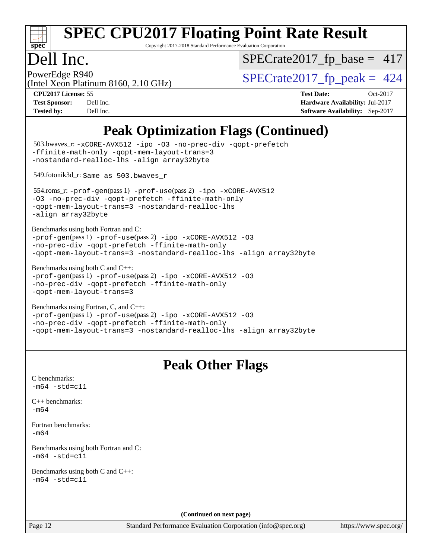

Copyright 2017-2018 Standard Performance Evaluation Corporation

# Dell Inc.<br>PowerEdge R940

[SPECrate2017\\_fp\\_base =](http://www.spec.org/auto/cpu2017/Docs/result-fields.html#SPECrate2017fpbase) 417

(Intel Xeon Platinum 8160, 2.10 GHz)  $SPECTate 2017_fp\_peak = 424$ 

**[CPU2017 License:](http://www.spec.org/auto/cpu2017/Docs/result-fields.html#CPU2017License)** 55 **[Test Date:](http://www.spec.org/auto/cpu2017/Docs/result-fields.html#TestDate)** Oct-2017 **[Test Sponsor:](http://www.spec.org/auto/cpu2017/Docs/result-fields.html#TestSponsor)** Dell Inc. **[Hardware Availability:](http://www.spec.org/auto/cpu2017/Docs/result-fields.html#HardwareAvailability)** Jul-2017 **[Tested by:](http://www.spec.org/auto/cpu2017/Docs/result-fields.html#Testedby)** Dell Inc. **[Software Availability:](http://www.spec.org/auto/cpu2017/Docs/result-fields.html#SoftwareAvailability)** Sep-2017

## **[Peak Optimization Flags \(Continued\)](http://www.spec.org/auto/cpu2017/Docs/result-fields.html#PeakOptimizationFlags)**

| 503.bwaves_r: -xCORE-AVX512 -ipo -03 -no-prec-div -qopt-prefetch<br>-ffinite-math-only -qopt-mem-layout-trans=3<br>-nostandard-realloc-lhs -align array32byte                                                                |
|------------------------------------------------------------------------------------------------------------------------------------------------------------------------------------------------------------------------------|
| 549.fotonik3d_r: Same as 503.bwaves_r                                                                                                                                                                                        |
| 554.roms_r: -prof-gen(pass 1) -prof-use(pass 2) -ipo -xCORE-AVX512<br>-03 -no-prec-div -qopt-prefetch -ffinite-math-only<br>-qopt-mem-layout-trans=3 -nostandard-realloc-lhs<br>-align array32byte                           |
| Benchmarks using both Fortran and C:<br>-prof-gen(pass 1) -prof-use(pass 2) -ipo -xCORE-AVX512 -03<br>-no-prec-div -qopt-prefetch -ffinite-math-only<br>-qopt-mem-layout-trans=3 -nostandard-realloc-lhs -align array32byte  |
| Benchmarks using both C and C++:<br>-prof-gen(pass 1) -prof-use(pass 2) -ipo -xCORE-AVX512 -03<br>-no-prec-div -qopt-prefetch -ffinite-math-only<br>-qopt-mem-layout-trans=3                                                 |
| Benchmarks using Fortran, C, and C++:<br>-prof-gen(pass 1) -prof-use(pass 2) -ipo -xCORE-AVX512 -03<br>-no-prec-div -qopt-prefetch -ffinite-math-only<br>-qopt-mem-layout-trans=3 -nostandard-realloc-lhs -align array32byte |
|                                                                                                                                                                                                                              |
| <b>Peak Other Flags</b>                                                                                                                                                                                                      |
| C benchmarks:<br>$-m64 - std= c11$                                                                                                                                                                                           |
| $C++$ benchmarks:<br>$-m64$                                                                                                                                                                                                  |
| Fortran benchmarks:<br>$-m64$                                                                                                                                                                                                |
| Benchmarks using both Fortran and C:<br>$-m64$ $-std= c11$                                                                                                                                                                   |
| Benchmarks using both C and C++:<br>$-m64 - std= c11$                                                                                                                                                                        |
| (Continued on next page)                                                                                                                                                                                                     |

<https://www.spec.org/>